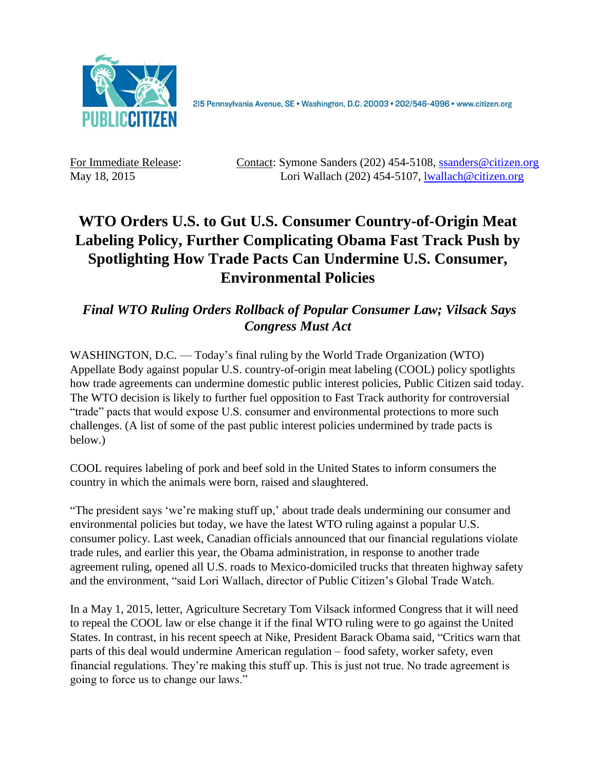

2I5 Pennsylvania Avenue, SE · Washington, D.C. 20003 · 202/546-4996 · www.citizen.org

For Immediate Release: Contact: Symone Sanders (202) 454-5108, [ssanders@citizen.org](mailto:ssanders@citizen.org) May 18, 2015 Lori Wallach (202) 454-5107, [lwallach@citizen.org](mailto:lwallach@citizen.org)

## **WTO Orders U.S. to Gut U.S. Consumer Country-of-Origin Meat Labeling Policy, Further Complicating Obama Fast Track Push by Spotlighting How Trade Pacts Can Undermine U.S. Consumer, Environmental Policies**

## *Final WTO Ruling Orders Rollback of Popular Consumer Law; Vilsack Says Congress Must Act*

WASHINGTON, D.C. — Today's final ruling by the World Trade Organization (WTO) Appellate Body against popular U.S. country-of-origin meat labeling (COOL) policy spotlights how trade agreements can undermine domestic public interest policies, Public Citizen said today. The WTO decision is likely to further fuel opposition to Fast Track authority for controversial "trade" pacts that would expose U.S. consumer and environmental protections to more such challenges. (A list of some of the past public interest policies undermined by trade pacts is below.)

COOL requires labeling of pork and beef sold in the United States to inform consumers the country in which the animals were born, raised and slaughtered.

"The president says 'we're making stuff up,' about trade deals undermining our consumer and environmental policies but today, we have the latest WTO ruling against a popular U.S. consumer policy. Last week, Canadian officials announced that our financial regulations violate trade rules, and earlier this year, the Obama administration, in response to another trade agreement ruling, opened all U.S. roads to Mexico-domiciled trucks that threaten highway safety and the environment, "said Lori Wallach, director of Public Citizen's Global Trade Watch.

In a May 1, 2015, letter, Agriculture Secretary Tom Vilsack informed Congress that it will need to repeal the COOL law or else change it if the final WTO ruling were to go against the United States. In contrast, in his recent speech at Nike, President Barack Obama said, "Critics warn that parts of this deal would undermine American regulation – food safety, worker safety, even financial regulations. They're making this stuff up. This is just not true. No trade agreement is going to force us to change our laws."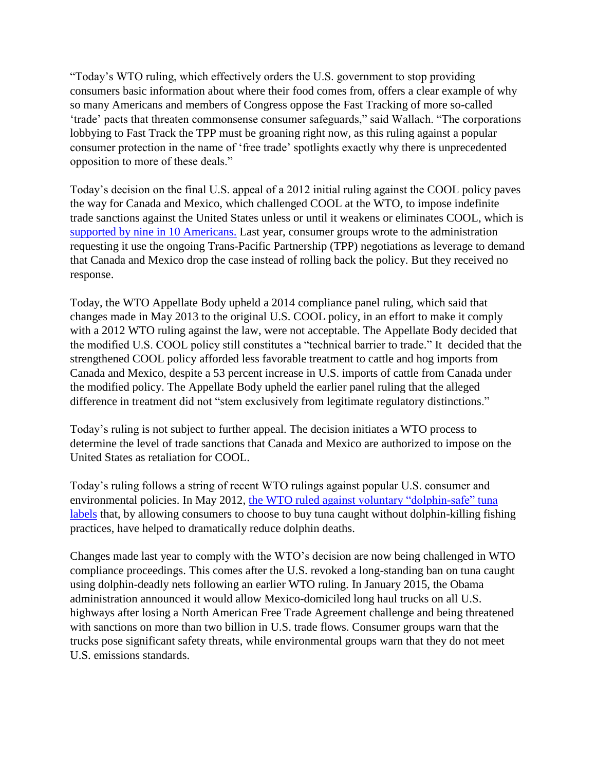"Today's WTO ruling, which effectively orders the U.S. government to stop providing consumers basic information about where their food comes from, offers a clear example of why so many Americans and members of Congress oppose the Fast Tracking of more so-called 'trade' pacts that threaten commonsense consumer safeguards," said Wallach. "The corporations lobbying to Fast Track the TPP must be groaning right now, as this ruling against a popular consumer protection in the name of 'free trade' spotlights exactly why there is unprecedented opposition to more of these deals."

Today's decision on the final U.S. appeal of a 2012 initial ruling against the COOL policy paves the way for Canada and Mexico, which challenged COOL at the WTO, to impose indefinite trade sanctions against the United States unless or until it weakens or eliminates COOL, which is [supported by nine in 10 Americans.](http://www.greenerchoices.org/pdf/ConsumerReportsFoodLabelingSurveyJune2014.pdf) Last year, consumer groups wrote to the administration requesting it use the ongoing Trans-Pacific Partnership (TPP) negotiations as leverage to demand that Canada and Mexico drop the case instead of rolling back the policy. But they received no response.

Today, the WTO Appellate Body upheld a 2014 compliance panel ruling, which said that changes made in May 2013 to the original U.S. COOL policy, in an effort to make it comply with a 2012 WTO ruling against the law, were not acceptable. The Appellate Body decided that the modified U.S. COOL policy still constitutes a "technical barrier to trade." It decided that the strengthened COOL policy afforded less favorable treatment to cattle and hog imports from Canada and Mexico, despite a 53 percent increase in U.S. imports of cattle from Canada under the modified policy. The Appellate Body upheld the earlier panel ruling that the alleged difference in treatment did not "stem exclusively from legitimate regulatory distinctions."

Today's ruling is not subject to further appeal. The decision initiates a WTO process to determine the level of trade sanctions that Canada and Mexico are authorized to impose on the United States as retaliation for COOL.

Today's ruling follows a string of recent WTO rulings against popular U.S. consumer and environmental policies. In May 2012, the WTO ruled against voluntary "dolphin-safe" tuna [labels](http://www.citizen.org/documents/press-release-dolphin-tuna-5-16-12.pdf) that, by allowing consumers to choose to buy tuna caught without dolphin-killing fishing practices, have helped to dramatically reduce dolphin deaths.

Changes made last year to comply with the WTO's decision are now being challenged in WTO compliance proceedings. This comes after the U.S. revoked a long-standing ban on tuna caught using dolphin-deadly nets following an earlier WTO ruling. In January 2015, the Obama administration announced it would allow Mexico-domiciled long haul trucks on all U.S. highways after losing a North American Free Trade Agreement challenge and being threatened with sanctions on more than two billion in U.S. trade flows. Consumer groups warn that the trucks pose significant safety threats, while environmental groups warn that they do not meet U.S. emissions standards.